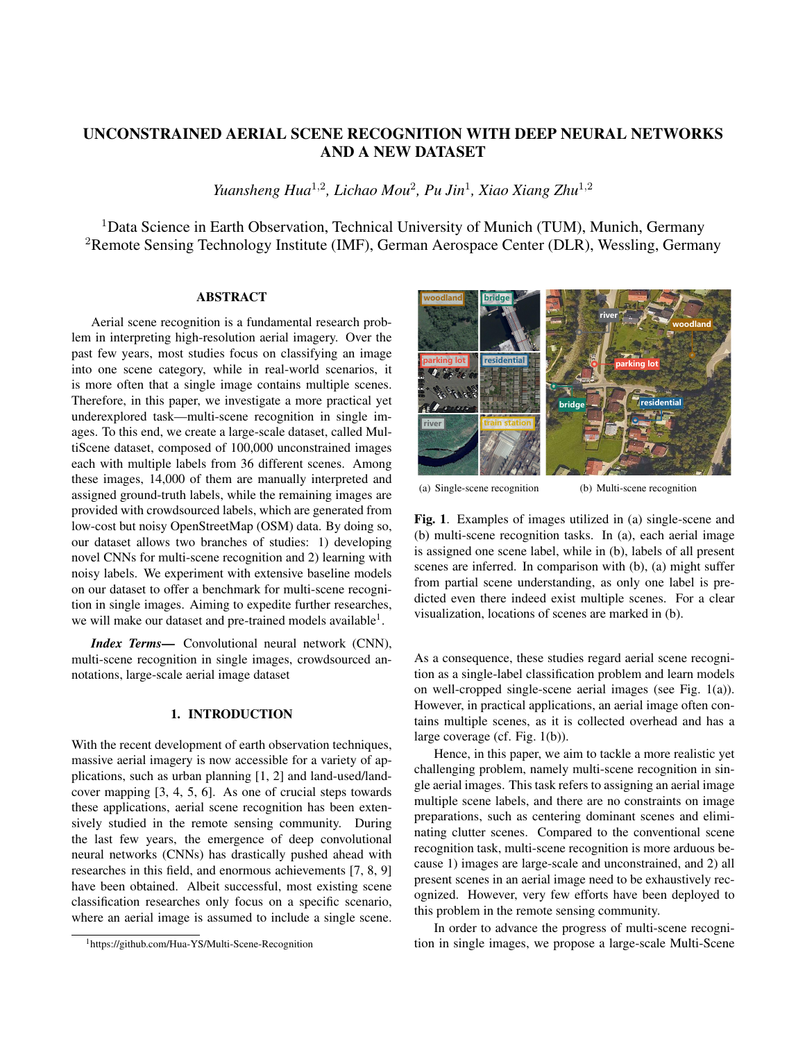# UNCONSTRAINED AERIAL SCENE RECOGNITION WITH DEEP NEURAL NETWORKS AND A NEW DATASET

Yuansheng Hua<sup>1,2</sup>, Lichao Mou<sup>2</sup>, Pu Jin<sup>1</sup>, Xiao Xiang Zhu<sup>1,2</sup>

<sup>1</sup>Data Science in Earth Observation, Technical University of Munich (TUM), Munich, Germany <sup>2</sup>Remote Sensing Technology Institute (IMF), German Aerospace Center (DLR), Wessling, Germany

## ABSTRACT

Aerial scene recognition is a fundamental research problem in interpreting high-resolution aerial imagery. Over the past few years, most studies focus on classifying an image into one scene category, while in real-world scenarios, it is more often that a single image contains multiple scenes. Therefore, in this paper, we investigate a more practical yet underexplored task—multi-scene recognition in single images. To this end, we create a large-scale dataset, called MultiScene dataset, composed of 100,000 unconstrained images each with multiple labels from 36 different scenes. Among these images, 14,000 of them are manually interpreted and assigned ground-truth labels, while the remaining images are provided with crowdsourced labels, which are generated from low-cost but noisy OpenStreetMap (OSM) data. By doing so, our dataset allows two branches of studies: 1) developing novel CNNs for multi-scene recognition and 2) learning with noisy labels. We experiment with extensive baseline models on our dataset to offer a benchmark for multi-scene recognition in single images. Aiming to expedite further researches, we will make our dataset and pre-trained models available<sup>1</sup>.

*Index Terms*— Convolutional neural network (CNN), multi-scene recognition in single images, crowdsourced annotations, large-scale aerial image dataset

## 1. INTRODUCTION

With the recent development of earth observation techniques, massive aerial imagery is now accessible for a variety of applications, such as urban planning [1, 2] and land-used/landcover mapping [3, 4, 5, 6]. As one of crucial steps towards these applications, aerial scene recognition has been extensively studied in the remote sensing community. During the last few years, the emergence of deep convolutional neural networks (CNNs) has drastically pushed ahead with researches in this field, and enormous achievements [7, 8, 9] have been obtained. Albeit successful, most existing scene classification researches only focus on a specific scenario, where an aerial image is assumed to include a single scene.



(a) Single-scene recognition

(b) Multi-scene recognition

Fig. 1. Examples of images utilized in (a) single-scene and (b) multi-scene recognition tasks. In (a), each aerial image is assigned one scene label, while in (b), labels of all present scenes are inferred. In comparison with (b), (a) might suffer from partial scene understanding, as only one label is predicted even there indeed exist multiple scenes. For a clear visualization, locations of scenes are marked in (b).

As a consequence, these studies regard aerial scene recognition as a single-label classification problem and learn models on well-cropped single-scene aerial images (see Fig. 1(a)). However, in practical applications, an aerial image often contains multiple scenes, as it is collected overhead and has a large coverage (cf. Fig. 1(b)).

Hence, in this paper, we aim to tackle a more realistic yet challenging problem, namely multi-scene recognition in single aerial images. This task refers to assigning an aerial image multiple scene labels, and there are no constraints on image preparations, such as centering dominant scenes and eliminating clutter scenes. Compared to the conventional scene recognition task, multi-scene recognition is more arduous because 1) images are large-scale and unconstrained, and 2) all present scenes in an aerial image need to be exhaustively recognized. However, very few efforts have been deployed to this problem in the remote sensing community.

In order to advance the progress of multi-scene recognition in single images, we propose a large-scale Multi-Scene

<sup>&</sup>lt;sup>1</sup>https://github.com/Hua-YS/Multi-Scene-Recognition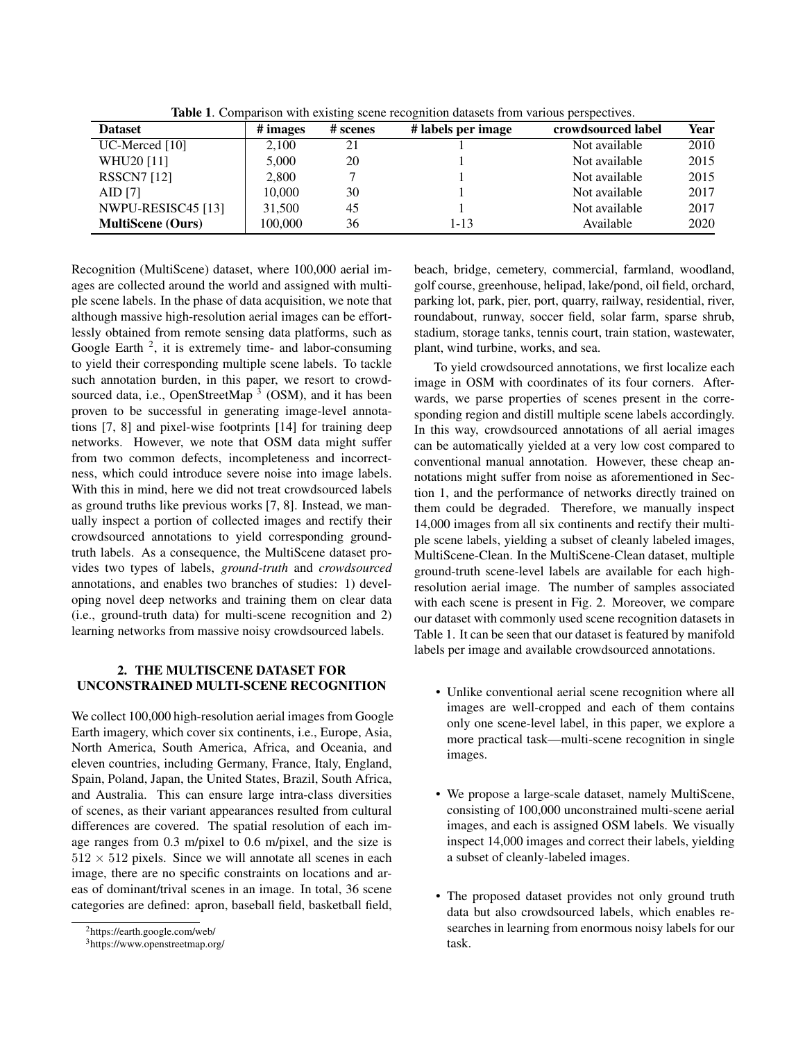| <b>Dataset</b>           | # images | # scenes | # labels per image | crowdsourced label | Year |
|--------------------------|----------|----------|--------------------|--------------------|------|
| $UC$ -Merced [10]        | 2.100    | 21       |                    | Not available      | 2010 |
| WHU20 [11]               | 5,000    | 20       |                    | Not available      | 2015 |
| <b>RSSCN7</b> [12]       | 2,800    |          |                    | Not available      | 2015 |
| AID [7]                  | 10,000   | 30       |                    | Not available      | 2017 |
| NWPU-RESISC45 [13]       | 31.500   | 45       |                    | Not available      | 2017 |
| <b>MultiScene</b> (Ours) | 100.000  | 36       | 1-13               | Available          | 2020 |

Table 1. Comparison with existing scene recognition datasets from various perspectives.

Recognition (MultiScene) dataset, where 100,000 aerial images are collected around the world and assigned with multiple scene labels. In the phase of data acquisition, we note that although massive high-resolution aerial images can be effortlessly obtained from remote sensing data platforms, such as Google Earth  $2$ , it is extremely time- and labor-consuming to yield their corresponding multiple scene labels. To tackle such annotation burden, in this paper, we resort to crowdsourced data, i.e., OpenStreetMap<sup>3</sup> (OSM), and it has been proven to be successful in generating image-level annotations [7, 8] and pixel-wise footprints [14] for training deep networks. However, we note that OSM data might suffer from two common defects, incompleteness and incorrectness, which could introduce severe noise into image labels. With this in mind, here we did not treat crowdsourced labels as ground truths like previous works [7, 8]. Instead, we manually inspect a portion of collected images and rectify their crowdsourced annotations to yield corresponding groundtruth labels. As a consequence, the MultiScene dataset provides two types of labels, *ground-truth* and *crowdsourced* annotations, and enables two branches of studies: 1) developing novel deep networks and training them on clear data (i.e., ground-truth data) for multi-scene recognition and 2) learning networks from massive noisy crowdsourced labels.

### 2. THE MULTISCENE DATASET FOR UNCONSTRAINED MULTI-SCENE RECOGNITION

We collect 100,000 high-resolution aerial images from Google Earth imagery, which cover six continents, i.e., Europe, Asia, North America, South America, Africa, and Oceania, and eleven countries, including Germany, France, Italy, England, Spain, Poland, Japan, the United States, Brazil, South Africa, and Australia. This can ensure large intra-class diversities of scenes, as their variant appearances resulted from cultural differences are covered. The spatial resolution of each image ranges from 0.3 m/pixel to 0.6 m/pixel, and the size is  $512 \times 512$  pixels. Since we will annotate all scenes in each image, there are no specific constraints on locations and areas of dominant/trival scenes in an image. In total, 36 scene categories are defined: apron, baseball field, basketball field,

beach, bridge, cemetery, commercial, farmland, woodland, golf course, greenhouse, helipad, lake/pond, oil field, orchard, parking lot, park, pier, port, quarry, railway, residential, river, roundabout, runway, soccer field, solar farm, sparse shrub, stadium, storage tanks, tennis court, train station, wastewater, plant, wind turbine, works, and sea.

To yield crowdsourced annotations, we first localize each image in OSM with coordinates of its four corners. Afterwards, we parse properties of scenes present in the corresponding region and distill multiple scene labels accordingly. In this way, crowdsourced annotations of all aerial images can be automatically yielded at a very low cost compared to conventional manual annotation. However, these cheap annotations might suffer from noise as aforementioned in Section 1, and the performance of networks directly trained on them could be degraded. Therefore, we manually inspect 14,000 images from all six continents and rectify their multiple scene labels, yielding a subset of cleanly labeled images, MultiScene-Clean. In the MultiScene-Clean dataset, multiple ground-truth scene-level labels are available for each highresolution aerial image. The number of samples associated with each scene is present in Fig. 2. Moreover, we compare our dataset with commonly used scene recognition datasets in Table 1. It can be seen that our dataset is featured by manifold labels per image and available crowdsourced annotations.

- Unlike conventional aerial scene recognition where all images are well-cropped and each of them contains only one scene-level label, in this paper, we explore a more practical task—multi-scene recognition in single images.
- We propose a large-scale dataset, namely MultiScene, consisting of 100,000 unconstrained multi-scene aerial images, and each is assigned OSM labels. We visually inspect 14,000 images and correct their labels, yielding a subset of cleanly-labeled images.
- The proposed dataset provides not only ground truth data but also crowdsourced labels, which enables researches in learning from enormous noisy labels for our task.

<sup>2</sup>https://earth.google.com/web/

<sup>3</sup>https://www.openstreetmap.org/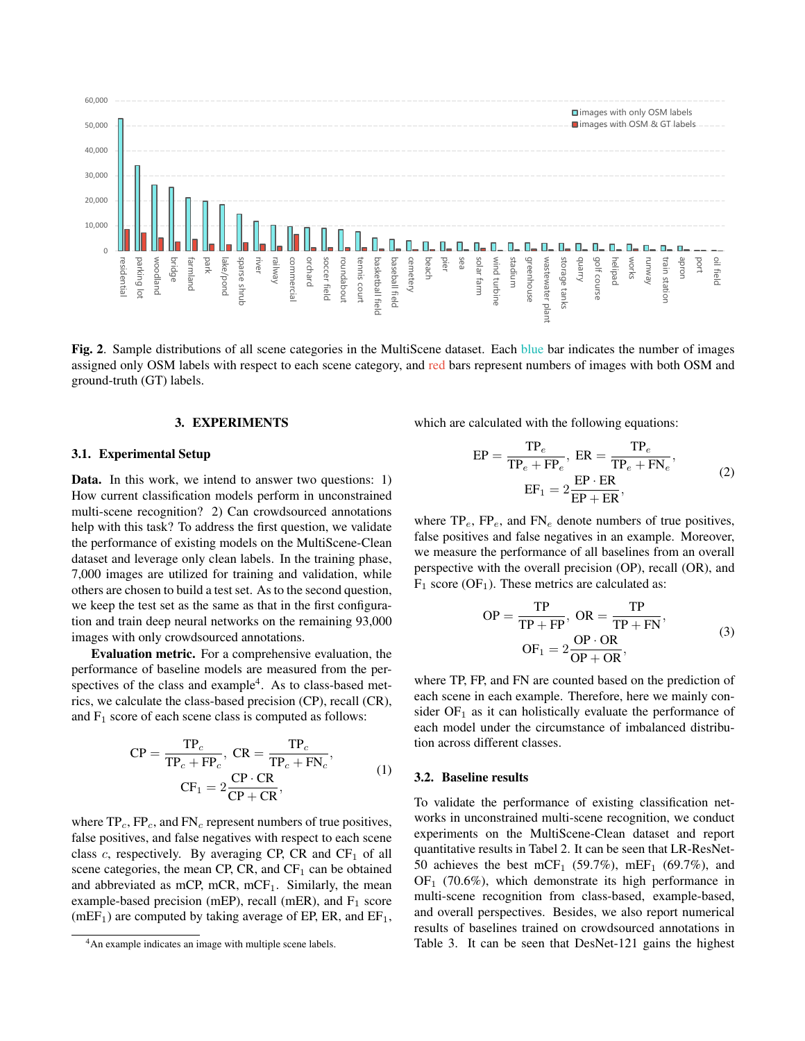

Fig. 2. Sample distributions of all scene categories in the MultiScene dataset. Each blue bar indicates the number of images assigned only OSM labels with respect to each scene category, and red bars represent numbers of images with both OSM and ground-truth (GT) labels.

#### 3. EXPERIMENTS

#### 3.1. Experimental Setup

Data. In this work, we intend to answer two questions: 1) How current classification models perform in unconstrained multi-scene recognition? 2) Can crowdsourced annotations help with this task? To address the first question, we validate the performance of existing models on the MultiScene-Clean dataset and leverage only clean labels. In the training phase, 7,000 images are utilized for training and validation, while others are chosen to build a test set. As to the second question, we keep the test set as the same as that in the first configuration and train deep neural networks on the remaining 93,000 images with only crowdsourced annotations.

Evaluation metric. For a comprehensive evaluation, the performance of baseline models are measured from the perspectives of the class and example<sup>4</sup>. As to class-based metrics, we calculate the class-based precision (CP), recall (CR), and  $F_1$  score of each scene class is computed as follows:

$$
CP = \frac{TP_c}{TP_c + FP_c}, CR = \frac{TP_c}{TP_c + FN_c},
$$
  
\n
$$
CF_1 = 2\frac{CP \cdot CR}{CP + CR},
$$
\n(1)

where  $TP_c$ ,  $FP_c$ , and  $FN_c$  represent numbers of true positives, false positives, and false negatives with respect to each scene class c, respectively. By averaging CP, CR and  $CF_1$  of all scene categories, the mean CP, CR, and  $CF_1$  can be obtained and abbreviated as mCP, mCR, mCF<sub>1</sub>. Similarly, the mean example-based precision (mEP), recall (mER), and  $F_1$  score  $(mEF<sub>1</sub>)$  are computed by taking average of EP, ER, and EF<sub>1</sub>,

which are calculated with the following equations:

$$
EP = \frac{TP_e}{TP_e + FP_e}, ER = \frac{TP_e}{TP_e + FN_e},
$$
  
\n
$$
EF_1 = 2\frac{EP \cdot ER}{EP + ER},
$$
\n(2)

where  $TP_e$ ,  $FP_e$ , and  $FN_e$  denote numbers of true positives, false positives and false negatives in an example. Moreover, we measure the performance of all baselines from an overall perspective with the overall precision (OP), recall (OR), and  $F_1$  score (OF<sub>1</sub>). These metrics are calculated as:

$$
OP = \frac{TP}{TP + FP}, OR = \frac{TP}{TP + FN},
$$
  
\n
$$
OF_1 = 2\frac{OP \cdot OR}{OP + OR},
$$
\n(3)

where TP, FP, and FN are counted based on the prediction of each scene in each example. Therefore, here we mainly consider  $OF_1$  as it can holistically evaluate the performance of each model under the circumstance of imbalanced distribution across different classes.

#### 3.2. Baseline results

To validate the performance of existing classification networks in unconstrained multi-scene recognition, we conduct experiments on the MultiScene-Clean dataset and report quantitative results in Tabel 2. It can be seen that LR-ResNet-50 achieves the best mCF<sub>1</sub> (59.7%), mEF<sub>1</sub> (69.7%), and  $OF<sub>1</sub>$  (70.6%), which demonstrate its high performance in multi-scene recognition from class-based, example-based, and overall perspectives. Besides, we also report numerical results of baselines trained on crowdsourced annotations in Table 3. It can be seen that DesNet-121 gains the highest

<sup>4</sup>An example indicates an image with multiple scene labels.